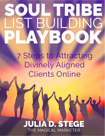# **ANRIBE DIN** V EX

**7 Steps to Attracting Divinely Aligned Clients Online** 

# THE MAGICAL MARKETER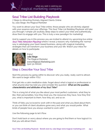

# Soul Tribe List Building Playbook<br>7 Steps to Attracting Divinely Aligned Clients Online

by Julia Stege, the Magical Marketer

You want to attract your Soul Tribe online, those people who are divinely aligned with your essence and your offerings. This Soul Tribe List Building Playbook will take you through 7 simple yet soulfully deep steps to select your tribe and authentically draw them to engage with you. This is truly a new paradigm for marketing!

And to support you in this process you are invited to attend my upcoming live online Soul Tribe Attraction Playshop where I reveal 3 reasons why marketing the 'normal' way is sabotaging your heart-based business, along with magical marketing strategies that can transform your business and your life. Watch your inbox for details on how to participate.



Enjoy! Julia Stege The Magical Marketer [www.Magical-Marketing.com](http://www.magical-marketing.com/) (510) 30-MAGIC

# Step 1: Describe Your Soul Tribe

Start this process by going within to discover who you really, really want to attract. We want to begin within YOU.

First get into a calm meditative state, forget about what is logical or professional or what anyone else has told you and consider this question: What are the qualities, characteristics and attributes of my Soul Tribe?

This is a long list of what you like about your most perfect customers, what they're like, their personalities, how they treat you, the resources they have, how they find you, what is important to them, how they act, and so on.

Think of folks you've loved to work with in the past and what you liked about them, or you can think of client situations gone awry and what you would prefer. What kinds of people have you always wanted to work with?

Use the following page to let it flow.

Don't hold back or worry about where you are going to find them or how logical it is that you will attract them.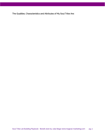The Qualities, Characteristics and Attributes of My Soul Tribe Are: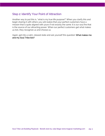#### Step 2: Identify Your Point of Attraction

Another way to put this is, "what is my true life purpose?" When you clarify this and begin sharing it with others you will realize that your perfect customers have a mission that is quite aligned with yours if not exactly the same. It is our soul fire that is the source of our attracting power. When our perfect customers get what makes us tick, they recognize us and choose us.

Again, get into a calm, relaxed state and ask yourself this question: What makes me and my Soul Tribe tick?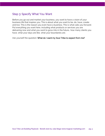#### Step 3: Specify What You Want

Before you go out and market your business, you want to have a vision of your business life that inspires you. This is about what you want to be, do, have, create and live. This is the reason you even have a business. This is what calls you forward. Put everything you want here, including what products or services you are delivering now and what you want to grow into in the future… how many clients you have, what your days are like, what your boundaries are.

Ask yourself the question: What do I want my Soul Tribe to expect from me?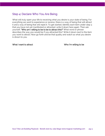#### Step 4: Declare Who You Are Being

What will truly open your life to receiving what you desire is your state of being. For everything we want to experience or receive, there is a way of being that will attract it and a way of being that will repel it. To get started, identify each item under step 3 that you have not yet manifested or attracted, write it down here again. Then ask yourself, "Who am I willing to be to be to attract this?" What word or phrase describes the way you would be if you attracted this? Write it down next to the item you want to attract. Now go forth and be that quality and watch as what you desire is drawn to you.

#### What I want to attract What I want to attract will be willing to be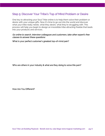#### Step 5: Discover Your Tribe's Top of Mind Problem or Desire

One key to attracting your Soul Tribe online is to help them solve their problem or desire with your unique gifts. Now it's time to go out into the world and discover what your tribe really needs, what they desire, what they're struggling with. This process will help you begin to design an irresistible tribe attracting freebie that leads into your products and services.

#### Go online to search, interview colleagues and customers, take other expert's free classes to answer these questions:

What is your perfect customer's greatest top-of-mind pain?

Who are others in your industry & what are they doing to solve this pain?

How Are You Different?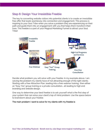#### Step 6: Design Your Irresistible Freebie

The key to converting website visitors into potential clients is to create an irresistible free offer that leads seamlessly into connection and engagement. This process is inspiring to your Soul Tribe when you solve a problem they are experiencing on their path and guide them into an engagement with you that helps them transform their lives. This freebie is a part of your Magical Marketing Funnel to attract your Soul Tribe!



Decide what problem you will solve with your freebie. In my example above, I am solving the problem my clients have of not attracting enough of the right clients. Starting with a free Attraction Plan, leading into a free webinar training.. then either an "Easy Yes" group training or a private consultation… all leading to high end branding and website design.

One way to determine your best freebie is to ask yourself what is the first step of your system that can solve your client's top of mind problem. Use the space below to brainstorm about your freebie.

#### The main problem I want to solve for my clients with my freebie is: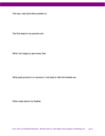The way I will solve their problem is:

The first steps in my process are:

What I am happy to give away free:

What paid product/s or service/s I will lead to with this freebie are:

Other notes about my freebie: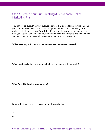### Step 7: Create Your Fun, Fulfilling & Sustainable Online Marketing Plan

You cannot do everything that everyone says is a must-do for marketing. Instead you want to find those few activities that you can do easily, consistently, and authentically to attract your Soul Tribe. When you align your marketing activities with your Soul's Purpose, then your marketing will be sustainable and fulfilling for you because the Universe will provide the resources and energy to do.

Write down any activities you like to do where people are involved:

What creative abilities do you have that you can share with the world?

What Social Networks do you prefer?

Now write down your 3 main daily marketing activities:

- 1.
- 2.
- 
- 3.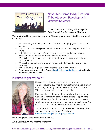

Next Step: Come to My Live Soul Tribe Attraction Playshop with Website Reviews!

Live Online Group Training: Attracting Your Soul Tribe Online List Building Playshop

#### You are invited to my next live playshop Attracting Your Soul Tribe Online where I will reveal:

- 3 reasons why marketing the 'normal' way is sabotaging your heart-based business
- The number one thing you can do to attract your divinely aligned Soul Tribe online
- Insight into why so many of your prospects and potential partners are confused about what you do, and what to do about it!
- What is the seldom used secret ingredient for attracting divinely aligned clients online?
- What is the most effective way to engage potential clients through your website?
- And I'll be reviewing websites and taking your questions live!
- Check your inbox for a letter from [Julia@Magical-Marketing.com](mailto:Julia@Magical-Marketing.com) for details on how to join the training:

### Is it time to get my help?



I help spiritual business women and conscious entrepreneurs to clarify and express their purpose through marketing, branding and websites that attract their Soul Tribe and inspire a true connection online.

If you want my help to create your tribe attracting brand, website or marketing plan, you are invited to apply for a Magical Strategy Session with me where we can review what you're doing and determine your next best steps. And I will share how I can help you implement those steps.

Sound good? Then please help me know a bit more about you by filling out my survey form here: [http://www.magicalstrategysession.com](http://www.magicalstrategysession.com/)

I'm looking forward to connecting with you. Love, Julia Stege, The Magical Marketer